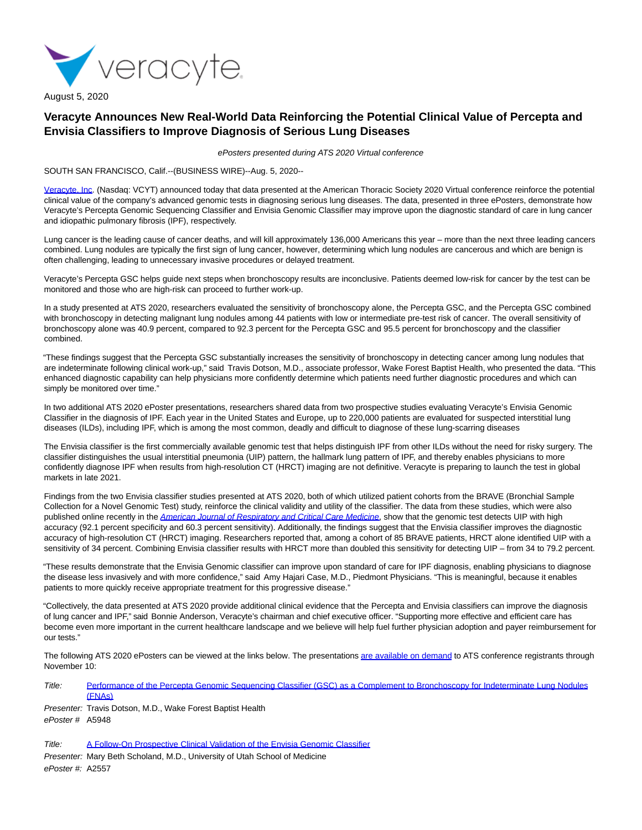

August 5, 2020

## **Veracyte Announces New Real-World Data Reinforcing the Potential Clinical Value of Percepta and Envisia Classifiers to Improve Diagnosis of Serious Lung Diseases**

ePosters presented during ATS 2020 Virtual conference

SOUTH SAN FRANCISCO, Calif.--(BUSINESS WIRE)--Aug. 5, 2020--

[Veracyte, Inc.](https://cts.businesswire.com/ct/CT?id=smartlink&url=http%3A%2F%2Fwww.veracyte.com%2F&esheet=52262020&newsitemid=20200805005962&lan=en-US&anchor=Veracyte%2C+Inc&index=1&md5=3127543fa65a607ed60484c1c26697e9) (Nasdaq: VCYT) announced today that data presented at the American Thoracic Society 2020 Virtual conference reinforce the potential clinical value of the company's advanced genomic tests in diagnosing serious lung diseases. The data, presented in three ePosters, demonstrate how Veracyte's Percepta Genomic Sequencing Classifier and Envisia Genomic Classifier may improve upon the diagnostic standard of care in lung cancer and idiopathic pulmonary fibrosis (IPF), respectively.

Lung cancer is the leading cause of cancer deaths, and will kill approximately 136,000 Americans this year – more than the next three leading cancers combined. Lung nodules are typically the first sign of lung cancer, however, determining which lung nodules are cancerous and which are benign is often challenging, leading to unnecessary invasive procedures or delayed treatment.

Veracyte's Percepta GSC helps guide next steps when bronchoscopy results are inconclusive. Patients deemed low-risk for cancer by the test can be monitored and those who are high-risk can proceed to further work-up.

In a study presented at ATS 2020, researchers evaluated the sensitivity of bronchoscopy alone, the Percepta GSC, and the Percepta GSC combined with bronchoscopy in detecting malignant lung nodules among 44 patients with low or intermediate pre-test risk of cancer. The overall sensitivity of bronchoscopy alone was 40.9 percent, compared to 92.3 percent for the Percepta GSC and 95.5 percent for bronchoscopy and the classifier combined.

"These findings suggest that the Percepta GSC substantially increases the sensitivity of bronchoscopy in detecting cancer among lung nodules that are indeterminate following clinical work-up," said Travis Dotson, M.D., associate professor, Wake Forest Baptist Health, who presented the data. "This enhanced diagnostic capability can help physicians more confidently determine which patients need further diagnostic procedures and which can simply be monitored over time."

In two additional ATS 2020 ePoster presentations, researchers shared data from two prospective studies evaluating Veracyte's Envisia Genomic Classifier in the diagnosis of IPF. Each year in the United States and Europe, up to 220,000 patients are evaluated for suspected interstitial lung diseases (ILDs), including IPF, which is among the most common, deadly and difficult to diagnose of these lung-scarring diseases

The Envisia classifier is the first commercially available genomic test that helps distinguish IPF from other ILDs without the need for risky surgery. The classifier distinguishes the usual interstitial pneumonia (UIP) pattern, the hallmark lung pattern of IPF, and thereby enables physicians to more confidently diagnose IPF when results from high-resolution CT (HRCT) imaging are not definitive. Veracyte is preparing to launch the test in global markets in late 2021.

Findings from the two Envisia classifier studies presented at ATS 2020, both of which utilized patient cohorts from the BRAVE (Bronchial Sample Collection for a Novel Genomic Test) study, reinforce the clinical validity and utility of the classifier. The data from these studies, which were also published online recently in the [American Journal of Respiratory and Critical Care Medicine](https://cts.businesswire.com/ct/CT?id=smartlink&url=https%3A%2F%2Fwww.atsjournals.org%2Fdoi%2Fpdf%2F10.1164%2Frccm.202003-0877OC&esheet=52262020&newsitemid=20200805005962&lan=en-US&anchor=American+Journal+of+Respiratory+and+Critical+Care+Medicine&index=2&md5=ba9a23d02864da7d67a95c752060219a), show that the genomic test detects UIP with high accuracy (92.1 percent specificity and 60.3 percent sensitivity). Additionally, the findings suggest that the Envisia classifier improves the diagnostic accuracy of high-resolution CT (HRCT) imaging. Researchers reported that, among a cohort of 85 BRAVE patients, HRCT alone identified UIP with a sensitivity of 34 percent. Combining Envisia classifier results with HRCT more than doubled this sensitivity for detecting UIP – from 34 to 79.2 percent.

"These results demonstrate that the Envisia Genomic classifier can improve upon standard of care for IPF diagnosis, enabling physicians to diagnose the disease less invasively and with more confidence," said Amy Hajari Case, M.D., Piedmont Physicians. "This is meaningful, because it enables patients to more quickly receive appropriate treatment for this progressive disease."

"Collectively, the data presented at ATS 2020 provide additional clinical evidence that the Percepta and Envisia classifiers can improve the diagnosis of lung cancer and IPF," said Bonnie Anderson, Veracyte's chairman and chief executive officer. "Supporting more effective and efficient care has become even more important in the current healthcare landscape and we believe will help fuel further physician adoption and payer reimbursement for our tests."

The following ATS 2020 ePosters can be viewed at the links below. The presentation[s are available on demand t](https://cts.businesswire.com/ct/CT?id=smartlink&url=https%3A%2F%2Fconference.thoracic.org%2Fprogram%2Feposters.php&esheet=52262020&newsitemid=20200805005962&lan=en-US&anchor=are+available+on+demand&index=3&md5=53543d41a3c18f05884638e217baac32)o ATS conference registrants through November 10:

- Title: [Performance of the Percepta Genomic Sequencing Classifier \(GSC\) as a Complement to Bronchoscopy for Indeterminate Lung Nodules](https://cts.businesswire.com/ct/CT?id=smartlink&url=https%3A%2F%2Fwww.veracyte.com%2Four-products%2Fpublications-abstracts%2Fpercepta&esheet=52262020&newsitemid=20200805005962&lan=en-US&anchor=Performance+of+the+Percepta+Genomic+Sequencing+Classifier+%28GSC%29+as+a+Complement+to+Bronchoscopy+for+Indeterminate+Lung+Nodules+%28FNAs%29&index=4&md5=11208aae667de5d620b00c9c53dbb6f2) (FNAs)
- Presenter: Travis Dotson, M.D., Wake Forest Baptist Health ePoster # A5948

```
A Follow-On Prospective Clinical Validation of the Envisia Genomic Classifier
```
Presenter: Mary Beth Scholand, M.D., University of Utah School of Medicine ePoster #: A2557